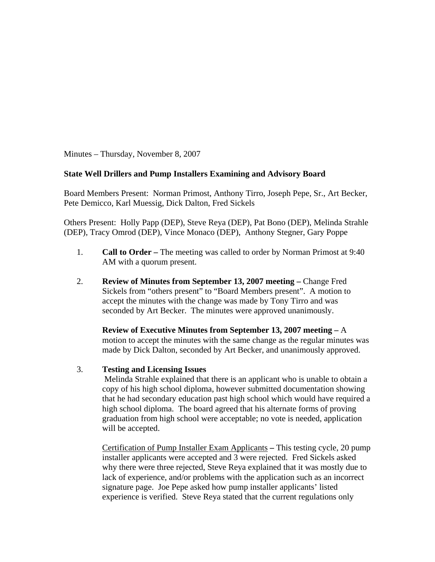Minutes – Thursday, November 8, 2007

# **State Well Drillers and Pump Installers Examining and Advisory Board**

Board Members Present: Norman Primost, Anthony Tirro, Joseph Pepe, Sr., Art Becker, Pete Demicco, Karl Muessig, Dick Dalton, Fred Sickels

Others Present: Holly Papp (DEP), Steve Reya (DEP), Pat Bono (DEP), Melinda Strahle (DEP), Tracy Omrod (DEP), Vince Monaco (DEP), Anthony Stegner, Gary Poppe

- 1. **Call to Order** The meeting was called to order by Norman Primost at 9:40 AM with a quorum present.
- 2. **Review of Minutes from September 13, 2007 meeting Change Fred** Sickels from "others present" to "Board Members present". A motion to accept the minutes with the change was made by Tony Tirro and was seconded by Art Becker. The minutes were approved unanimously.

**Review of Executive Minutes from September 13, 2007 meeting –** A motion to accept the minutes with the same change as the regular minutes was made by Dick Dalton, seconded by Art Becker, and unanimously approved.

### 3. **Testing and Licensing Issues**

Melinda Strahle explained that there is an applicant who is unable to obtain a copy of his high school diploma, however submitted documentation showing that he had secondary education past high school which would have required a high school diploma. The board agreed that his alternate forms of proving graduation from high school were acceptable; no vote is needed, application will be accepted.

Certification of Pump Installer Exam Applicants **–** This testing cycle, 20 pump installer applicants were accepted and 3 were rejected. Fred Sickels asked why there were three rejected, Steve Reya explained that it was mostly due to lack of experience, and/or problems with the application such as an incorrect signature page. Joe Pepe asked how pump installer applicants' listed experience is verified. Steve Reya stated that the current regulations only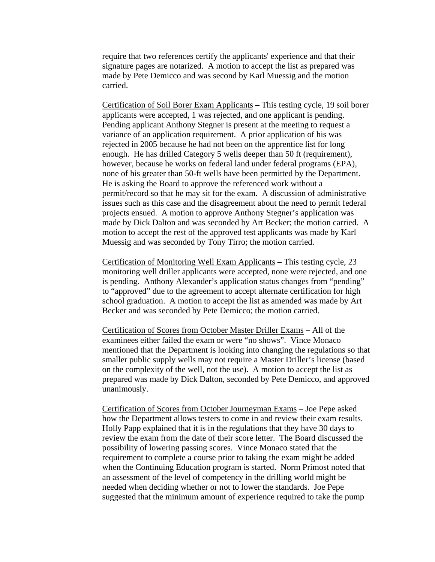require that two references certify the applicants' experience and that their signature pages are notarized. A motion to accept the list as prepared was made by Pete Demicco and was second by Karl Muessig and the motion carried.

Certification of Soil Borer Exam Applicants **–** This testing cycle, 19 soil borer applicants were accepted, 1 was rejected, and one applicant is pending. Pending applicant Anthony Stegner is present at the meeting to request a variance of an application requirement. A prior application of his was rejected in 2005 because he had not been on the apprentice list for long enough. He has drilled Category 5 wells deeper than 50 ft (requirement), however, because he works on federal land under federal programs (EPA), none of his greater than 50-ft wells have been permitted by the Department. He is asking the Board to approve the referenced work without a permit/record so that he may sit for the exam. A discussion of administrative issues such as this case and the disagreement about the need to permit federal projects ensued. A motion to approve Anthony Stegner's application was made by Dick Dalton and was seconded by Art Becker; the motion carried. A motion to accept the rest of the approved test applicants was made by Karl Muessig and was seconded by Tony Tirro; the motion carried.

Certification of Monitoring Well Exam Applicants **–** This testing cycle, 23 monitoring well driller applicants were accepted, none were rejected, and one is pending. Anthony Alexander's application status changes from "pending" to "approved" due to the agreement to accept alternate certification for high school graduation. A motion to accept the list as amended was made by Art Becker and was seconded by Pete Demicco; the motion carried.

Certification of Scores from October Master Driller Exams **–** All of the examinees either failed the exam or were "no shows". Vince Monaco mentioned that the Department is looking into changing the regulations so that smaller public supply wells may not require a Master Driller's license (based on the complexity of the well, not the use). A motion to accept the list as prepared was made by Dick Dalton, seconded by Pete Demicco, and approved unanimously.

Certification of Scores from October Journeyman Exams – Joe Pepe asked how the Department allows testers to come in and review their exam results. Holly Papp explained that it is in the regulations that they have 30 days to review the exam from the date of their score letter. The Board discussed the possibility of lowering passing scores. Vince Monaco stated that the requirement to complete a course prior to taking the exam might be added when the Continuing Education program is started. Norm Primost noted that an assessment of the level of competency in the drilling world might be needed when deciding whether or not to lower the standards. Joe Pepe suggested that the minimum amount of experience required to take the pump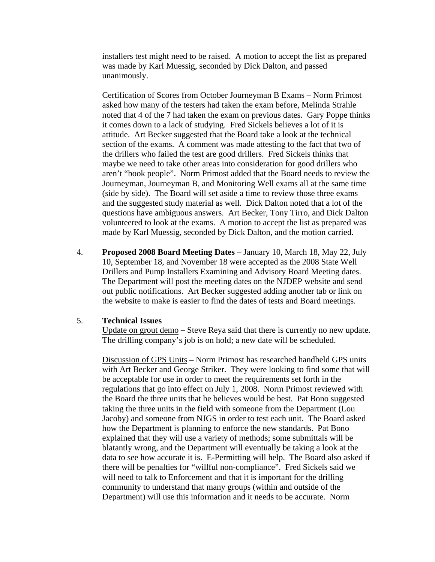installers test might need to be raised. A motion to accept the list as prepared was made by Karl Muessig, seconded by Dick Dalton, and passed unanimously.

Certification of Scores from October Journeyman B Exams – Norm Primost asked how many of the testers had taken the exam before, Melinda Strahle noted that 4 of the 7 had taken the exam on previous dates. Gary Poppe thinks it comes down to a lack of studying. Fred Sickels believes a lot of it is attitude. Art Becker suggested that the Board take a look at the technical section of the exams. A comment was made attesting to the fact that two of the drillers who failed the test are good drillers. Fred Sickels thinks that maybe we need to take other areas into consideration for good drillers who aren't "book people". Norm Primost added that the Board needs to review the Journeyman, Journeyman B, and Monitoring Well exams all at the same time (side by side). The Board will set aside a time to review those three exams and the suggested study material as well. Dick Dalton noted that a lot of the questions have ambiguous answers. Art Becker, Tony Tirro, and Dick Dalton volunteered to look at the exams. A motion to accept the list as prepared was made by Karl Muessig, seconded by Dick Dalton, and the motion carried.

4. **Proposed 2008 Board Meeting Dates** – January 10, March 18, May 22, July 10, September 18, and November 18 were accepted as the 2008 State Well Drillers and Pump Installers Examining and Advisory Board Meeting dates. The Department will post the meeting dates on the NJDEP website and send out public notifications. Art Becker suggested adding another tab or link on the website to make is easier to find the dates of tests and Board meetings.

### 5. **Technical Issues**

Update on grout demo **–** Steve Reya said that there is currently no new update. The drilling company's job is on hold; a new date will be scheduled.

Discussion of GPS Units **–** Norm Primost has researched handheld GPS units with Art Becker and George Striker. They were looking to find some that will be acceptable for use in order to meet the requirements set forth in the regulations that go into effect on July 1, 2008. Norm Primost reviewed with the Board the three units that he believes would be best. Pat Bono suggested taking the three units in the field with someone from the Department (Lou Jacoby) and someone from NJGS in order to test each unit. The Board asked how the Department is planning to enforce the new standards. Pat Bono explained that they will use a variety of methods; some submittals will be blatantly wrong, and the Department will eventually be taking a look at the data to see how accurate it is. E-Permitting will help. The Board also asked if there will be penalties for "willful non-compliance". Fred Sickels said we will need to talk to Enforcement and that it is important for the drilling community to understand that many groups (within and outside of the Department) will use this information and it needs to be accurate. Norm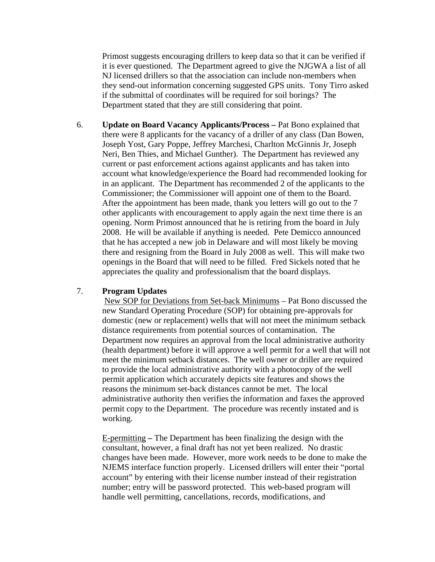Primost suggests encouraging drillers to keep data so that it can be verified if it is ever questioned. The Department agreed to give the NJGWA a list of all NJ licensed drillers so that the association can include non-members when they send-out information concerning suggested GPS units. Tony Tirro asked if the submittal of coordinates will be required for soil borings? The Department stated that they are still considering that point.

6. **Update on Board Vacancy Applicants/Process –** Pat Bono explained that there were 8 applicants for the vacancy of a driller of any class (Dan Bowen, Joseph Yost, Gary Poppe, Jeffrey Marchesi, Charlton McGinnis Jr, Joseph Neri, Ben Thies, and Michael Gunther). The Department has reviewed any current or past enforcement actions against applicants and has taken into account what knowledge/experience the Board had recommended looking for in an applicant. The Department has recommended 2 of the applicants to the Commissioner; the Commissioner will appoint one of them to the Board. After the appointment has been made, thank you letters will go out to the 7 other applicants with encouragement to apply again the next time there is an opening. Norm Primost announced that he is retiring from the board in July 2008. He will be available if anything is needed. Pete Demicco announced that he has accepted a new job in Delaware and will most likely be moving there and resigning from the Board in July 2008 as well. This will make two openings in the Board that will need to be filled. Fred Sickels noted that he appreciates the quality and professionalism that the board displays.

### 7. **Program Updates**

New SOP for Deviations from Set-back Minimums – Pat Bono discussed the new Standard Operating Procedure (SOP) for obtaining pre-approvals for domestic (new or replacement) wells that will not meet the minimum setback distance requirements from potential sources of contamination. The Department now requires an approval from the local administrative authority (health department) before it will approve a well permit for a well that will not meet the minimum setback distances. The well owner or driller are required to provide the local administrative authority with a photocopy of the well permit application which accurately depicts site features and shows the reasons the minimum set-back distances cannot be met. The local administrative authority then verifies the information and faxes the approved permit copy to the Department. The procedure was recently instated and is working.

E-permitting **–** The Department has been finalizing the design with the consultant, however, a final draft has not yet been realized. No drastic changes have been made. However, more work needs to be done to make the NJEMS interface function properly. Licensed drillers will enter their "portal account" by entering with their license number instead of their registration number; entry will be password protected. This web-based program will handle well permitting, cancellations, records, modifications, and